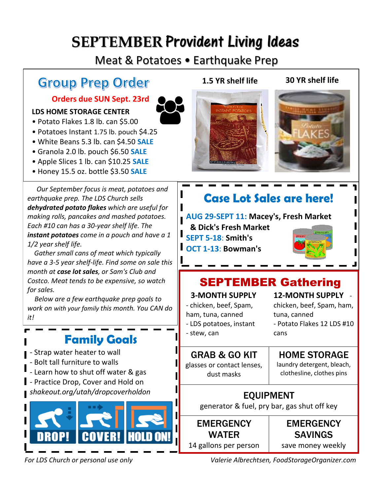# **SEPTEMBER** Provident Living Ideas

# Meat & Potatoes • Earthquake Prep

# **Group Prep Order**

### **Orders due SUN Sept. 23rd**

#### **LDS HOME STORAGE CENTER**

- Potato Flakes 1.8 lb. can \$5.00
- Potatoes Instant 1.75 lb. pouch \$4.25
- White Beans 5.3 lb. can \$4.50 **SALE**
- Granola 2.0 lb. pouch \$6.50 **SALE**
- Apple Slices 1 lb. can \$10.25 **SALE**
- Honey 15.5 oz. bottle \$3.50 **SALE**

*Our September focus is meat, potatoes and earthquake prep. The LDS Church sells dehydrated potato flakes which are useful for making rolls, pancakes and mashed potatoes. Each #10 can has a 30-year shelf life. The instant potatoes come in a pouch and have a 1 1/2 year shelf life.*

*Gather small cans of meat which typically have a 3-5 year shelf-life. Find some on sale this month at case lot sales, or Sam's Club and Costco. Meat tends to be expensive, so watch for sales.*

*Below are a few earthquake prep goals to work on with your family this month. You CAN do it!* 

# **Family Goals**

- Strap water heater to wall

- Bolt tall furniture to walls
- Learn how to shut off water & gas
- Practice Drop, Cover and Hold on *shakeout.org/utah/dropcoverholdon*







# **Case Lot Sales are here!**

### **AUG 29-SEPT 11: Macey's, Fresh Market**

**& Dick's Fresh Market SEPT 5-18**: **Smith's** L **OCT 1-13**: **Bowman's**



# SEPTEMBER Gathering

cans

#### **3-MONTH SUPPLY**

- chicken, beef, Spam, ham, tuna, canned - LDS potatoes, instant

## **12-MONTH SUPPLY** -

chicken, beef, Spam, ham, tuna, canned - Potato Flakes 12 LDS #10

- stew, can

# HOME STORAGE

GRAB & GO KIT glasses or contact lenses, dust masks

laundry detergent, bleach, clothesline, clothes pins

EQUIPMENT generator & fuel, pry bar, gas shut off key

**EMERGENCY** WATER 14 gallons per person

**EMERGENCY** SAVINGS save money weekly

*For LDS Church or personal use only Valerie Albrechtsen, FoodStorageOrganizer.com*